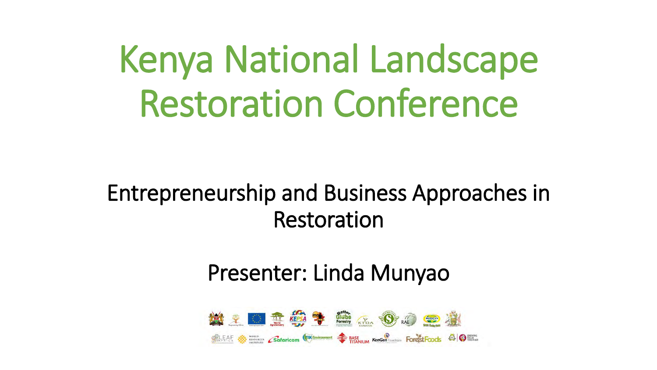Kenya National Landscape Restoration Conference

Entrepreneurship and Business Approaches in Restoration

Presenter: Linda Munyao

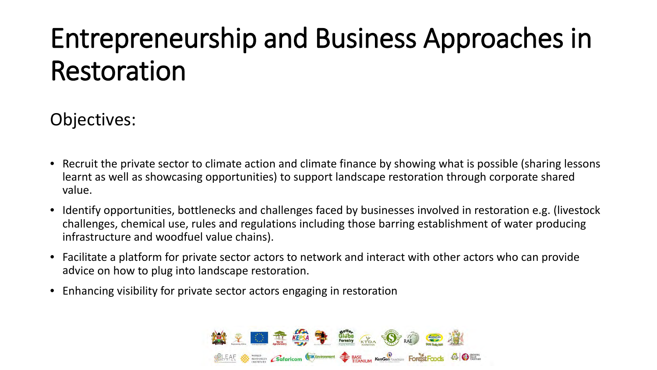# Entrepreneurship and Business Approaches in Restoration

#### Objectives:

- Recruit the private sector to climate action and climate finance by showing what is possible (sharing lessons learnt as well as showcasing opportunities) to support landscape restoration through corporate shared value.
- Identify opportunities, bottlenecks and challenges faced by businesses involved in restoration e.g. (livestock challenges, chemical use, rules and regulations including those barring establishment of water producing infrastructure and woodfuel value chains).
- Facilitate a platform for private sector actors to network and interact with other actors who can provide advice on how to plug into landscape restoration.
- Enhancing visibility for private sector actors engaging in restoration

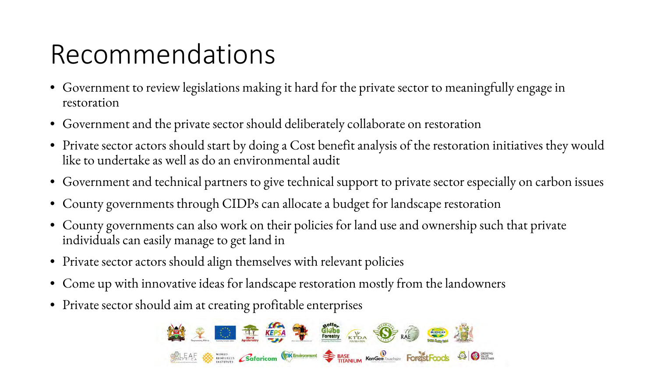### Recommendations

- Government to review legislations making it hard for the private sector to meaningfully engage in restoration
- Government and the private sector should deliberately collaborate on restoration
- Private sector actors should start by doing a Cost benefit analysis of the restoration initiatives they would like to undertake as well as do an environmental audit
- Government and technical partners to give technical support to private sector especially on carbon issues
- County governments through CIDPs can allocate a budget for landscape restoration
- County governments can also work on their policies for land use and ownership such that private individuals can easily manage to get land in
- Private sector actors should align themselves with relevant policies
- Come up with innovative ideas for landscape restoration mostly from the landowners
- Private sector should aim at creating profitable enterprises

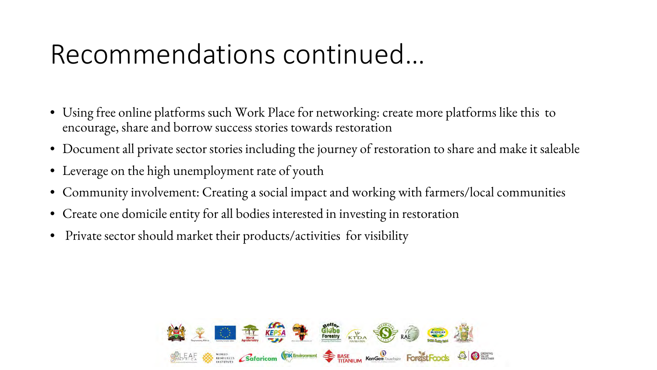#### Recommendations continued…

- Using free online platforms such Work Place for networking: create more platforms like this to encourage, share and borrow success stories towards restoration
- Document all private sector stories including the journey of restoration to share and make it saleable
- Leverage on the high unemployment rate of youth
- Community involvement: Creating a social impact and working with farmers/local communities
- Create one domicile entity for all bodies interested in investing in restoration
- Private sector should market their products/activities for visibility